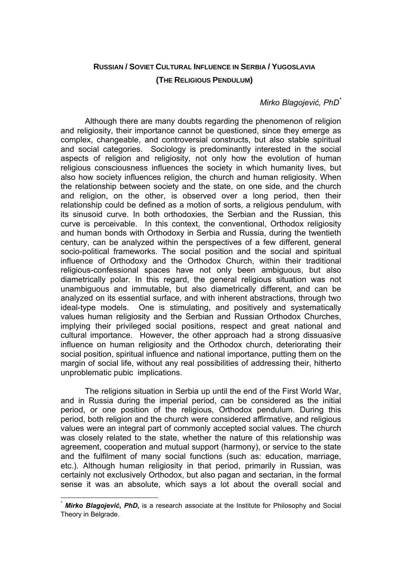### **RUSSIAN / SOVIET CULTURAL INFLUENCE IN SERBIA / YUGOSLAVIA**

#### **(THE RELIGIOUS PENDULUM)**

# *Mirko Blagojević, PhD\**

Although there are many doubts regarding the phenomenon of religion and religiosity, their importance cannot be questioned, since they emerge as complex, changeable, and controversial constructs, but also stable spiritual and social categories. Sociology is predominantly interested in the social aspects of religion and religiosity, not only how the evolution of human religious consciousness influences the society in which humanity lives, but also how society influences religion, the church and human religiosity. When the relationship between society and the state, on one side, and the church and religion, on the other, is observed over a long period, then their relationship could be defined as a motion of sorts, a religious pendulum, with its sinusoid curve. In both orthodoxies, the Serbian and the Russian, this curve is perceivable. In this context, the conventional, Orthodox religiosity and human bonds with Orthodoxy in Serbia and Russia, during the twentieth century, can be analyzed within the perspectives of a few different, general socio-political frameworks. The social position and the social and spiritual influence of Orthodoxy and the Orthodox Church, within their traditional religious-confessional spaces have not only been ambiguous, but also diametrically polar. In this regard, the general religious situation was not unambiguous and immutable, but also diametrically different, and can be analyzed on its essential surface, and with inherent abstractions, through two ideal-type models. One is stimulating, and positively and systematically values human religiosity and the Serbian and Russian Orthodox Churches, implying their privileged social positions, respect and great national and cultural importance. However, the other approach had a strong dissuasive influence on human religiosity and the Orthodox church, deteriorating their social position, spiritual influence and national importance, putting them on the margin of social life, without any real possibilities of addressing their, hitherto unproblematic pubic implications.

The religions situation in Serbia up until the end of the First World War, and in Russia during the imperial period, can be considered as the initial period, or one position of the religious, Orthodox pendulum. During this period, both religion and the church were considered affirmative, and religious values were an integral part of commonly accepted social values. The church was closely related to the state, whether the nature of this relationship was agreement, cooperation and mutual support (harmony), or service to the state and the fulfilment of many social functions (such as: education, marriage, etc.). Although human religiosity in that period, primarily in Russian, was certainly not exclusively Orthodox, but also pagan and sectarian, in the formal sense it was an absolute, which says a lot about the overall social and

 $\overline{a}$ 

*Mirko Blagojević, PhD,* is a research associate at the Institute for Philosophy and Social Theory in Belgrade.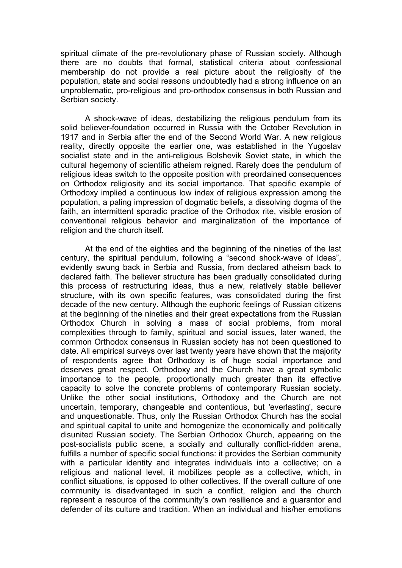spiritual climate of the pre-revolutionary phase of Russian society. Although there are no doubts that formal, statistical criteria about confessional membership do not provide a real picture about the religiosity of the population, state and social reasons undoubtedly had a strong influence on an unproblematic, pro-religious and pro-orthodox consensus in both Russian and Serbian society.

A shock-wave of ideas, destabilizing the religious pendulum from its solid believer-foundation occurred in Russia with the October Revolution in 1917 and in Serbia after the end of the Second World War. A new religious reality, directly opposite the earlier one, was established in the Yugoslav socialist state and in the anti-religious Bolshevik Soviet state, in which the cultural hegemony of scientific atheism reigned. Rarely does the pendulum of religious ideas switch to the opposite position with preordained consequences on Orthodox religiosity and its social importance. That specific example of Orthodoxy implied a continuous low index of religious expression among the population, a paling impression of dogmatic beliefs, a dissolving dogma of the faith, an intermittent sporadic practice of the Orthodox rite, visible erosion of conventional religious behavior and marginalization of the importance of religion and the church itself.

At the end of the eighties and the beginning of the nineties of the last century, the spiritual pendulum, following a "second shock-wave of ideas", evidently swung back in Serbia and Russia, from declared atheism back to declared faith. The believer structure has been gradually consolidated during this process of restructuring ideas, thus a new, relatively stable believer structure, with its own specific features, was consolidated during the first decade of the new century. Although the euphoric feelings of Russian citizens at the beginning of the nineties and their great expectations from the Russian Orthodox Church in solving a mass of social problems, from moral complexities through to family, spiritual and social issues, later waned, the common Orthodox consensus in Russian society has not been questioned to date. All empirical surveys over last twenty years have shown that the majority of respondents agree that Orthodoxy is of huge social importance and deserves great respect. Orthodoxy and the Church have a great symbolic importance to the people, proportionally much greater than its effective capacity to solve the concrete problems of contemporary Russian society. Unlike the other social institutions, Orthodoxy and the Church are not uncertain, temporary, changeable and contentious, but 'everlasting', secure and unquestionable. Thus, only the Russian Orthodox Church has the social and spiritual capital to unite and homogenize the economically and politically disunited Russian society. The Serbian Orthodox Church, appearing on the post-socialists public scene, a socially and culturally conflict-ridden arena, fulfills a number of specific social functions: it provides the Serbian community with a particular identity and integrates individuals into a collective; on a religious and national level, it mobilizes people as a collective, which, in conflict situations, is opposed to other collectives. If the overall culture of one community is disadvantaged in such a conflict, religion and the church represent a resource of the community's own resilience and a guarantor and defender of its culture and tradition. When an individual and his/her emotions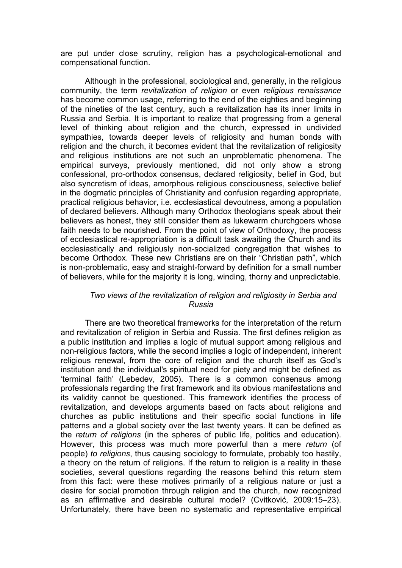are put under close scrutiny, religion has a psychological-emotional and compensational function.

Although in the professional, sociological and, generally, in the religious community, the term *revitalization of religion* or even *religious renaissance* has become common usage, referring to the end of the eighties and beginning of the nineties of the last century, such a revitalization has its inner limits in Russia and Serbia. It is important to realize that progressing from a general level of thinking about religion and the church, expressed in undivided sympathies, towards deeper levels of religiosity and human bonds with religion and the church, it becomes evident that the revitalization of religiosity and religious institutions are not such an unproblematic phenomena. The empirical surveys, previously mentioned, did not only show a strong confessional, pro-orthodox consensus, declared religiosity, belief in God, but also syncretism of ideas, amorphous religious consciousness, selective belief in the dogmatic principles of Christianity and confusion regarding appropriate, practical religious behavior, i.e. ecclesiastical devoutness, among a population of declared believers. Although many Orthodox theologians speak about their believers as honest, they still consider them as lukewarm churchgoers whose faith needs to be nourished. From the point of view of Orthodoxy, the process of ecclesiastical re-appropriation is a difficult task awaiting the Church and its ecclesiastically and religiously non-socialized congregation that wishes to become Orthodox. These new Christians are on their "Christian path", which is non-problematic, easy and straight-forward by definition for a small number of believers, while for the majority it is long, winding, thorny and unpredictable.

## *Two views of the revitalization of religion and religiosity in Serbia and Russia*

There are two theoretical frameworks for the interpretation of the return and revitalization of religion in Serbia and Russia. The first defines religion as a public institution and implies a logic of mutual support among religious and non-religious factors, while the second implies a logic of independent, inherent religious renewal, from the core of religion and the church itself as God's institution and the individual's spiritual need for piety and might be defined as 'terminal faith' (Lebedev, 2005). There is a common consensus among professionals regarding the first framework and its obvious manifestations and its validity cannot be questioned. This framework identifies the process of revitalization, and develops arguments based on facts about religions and churches as public institutions and their specific social functions in life patterns and a global society over the last twenty years. It can be defined as the *return of religions* (in the spheres of public life, politics and education). However, this process was much more powerful than a mere *return* (of people) *to religions*, thus causing sociology to formulate, probably too hastily, a theory on the return of religions. If the return to religion is a reality in these societies, several questions regarding the reasons behind this return stem from this fact: were these motives primarily of a religious nature or just a desire for social promotion through religion and the church, now recognized as an affirmative and desirable cultural model? (Cvitković, 2009:15–23). Unfortunately, there have been no systematic and representative empirical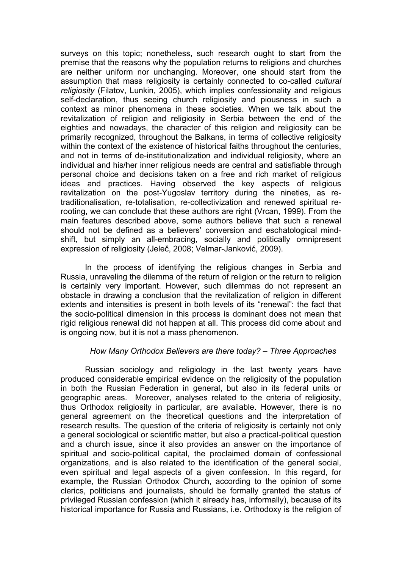surveys on this topic; nonetheless, such research ought to start from the premise that the reasons why the population returns to religions and churches are neither uniform nor unchanging. Moreover, one should start from the assumption that mass religiosity is certainly connected to co-called *cultural religiosity* (Filatov, Lunkin, 2005), which implies confessionality and religious self-declaration, thus seeing church religiosity and piousness in such a context as minor phenomena in these societies. When we talk about the revitalization of religion and religiosity in Serbia between the end of the eighties and nowadays, the character of this religion and religiosity can be primarily recognized, throughout the Balkans, in terms of collective religiosity within the context of the existence of historical faiths throughout the centuries, and not in terms of de-institutionalization and individual religiosity, where an individual and his/her inner religious needs are central and satisfiable through personal choice and decisions taken on a free and rich market of religious ideas and practices. Having observed the key aspects of religious revitalization on the post-Yugoslav territory during the nineties, as retraditionalisation, re-totalisation, re-collectivization and renewed spiritual rerooting, we can conclude that these authors are right (Vrcan, 1999). From the main features described above, some authors believe that such a renewal should not be defined as a believers' conversion and eschatological mindshift, but simply an all-embracing, socially and politically omnipresent expression of religiosity (Jeleč, 2008; Velmar-Janković, 2009).

In the process of identifying the religious changes in Serbia and Russia, unraveling the dilemma of the return of religion or the return to religion is certainly very important. However, such dilemmas do not represent an obstacle in drawing a conclusion that the revitalization of religion in different extents and intensities is present in both levels of its "renewal": the fact that the socio-political dimension in this process is dominant does not mean that rigid religious renewal did not happen at all. This process did come about and is ongoing now, but it is not a mass phenomenon.

## *How Many Orthodox Believers are there today? – Three Approaches*

Russian sociology and religiology in the last twenty years have produced considerable empirical evidence on the religiosity of the population in both the Russian Federation in general, but also in its federal units or geographic areas. Moreover, analyses related to the criteria of religiosity, thus Orthodox religiosity in particular, are available. However, there is no general agreement on the theoretical questions and the interpretation of research results. The question of the criteria of religiosity is certainly not only a general sociological or scientific matter, but also a practical-political question and a church issue, since it also provides an answer on the importance of spiritual and socio-political capital, the proclaimed domain of confessional organizations, and is also related to the identification of the general social, even spiritual and legal aspects of a given confession. In this regard, for example, the Russian Orthodox Church, according to the opinion of some clerics, politicians and journalists, should be formally granted the status of privileged Russian confession (which it already has, informally), because of its historical importance for Russia and Russians, i.e. Orthodoxy is the religion of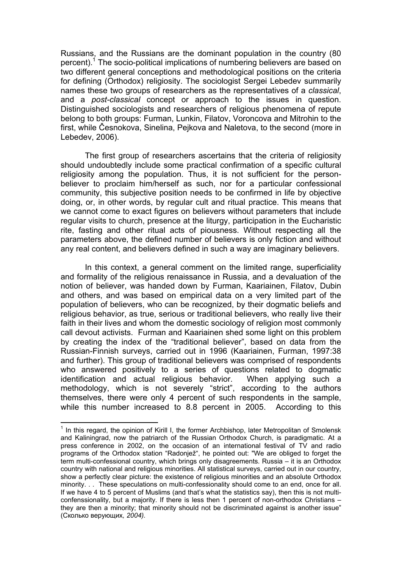Russians, and the Russians are the dominant population in the country (80 percent).<sup>1</sup> The socio-political implications of numbering believers are based on two different general conceptions and methodological positions on the criteria for defining (Orthodox) religiosity. The sociologist Sergei Lebedev summarily names these two groups of researchers as the representatives of a *classical*, and a *post-classical* concept or approach to the issues in question. Distinguished sociologists and researchers of religious phenomena of repute belong to both groups: Furman, Lunkin, Filatov, Voroncova and Mitrohin to the first, while Česnokova, Sinelina, Pejkova and Naletova, to the second (more in Lebedev, 2006).

The first group of researchers ascertains that the criteria of religiosity should undoubtedly include some practical confirmation of a specific cultural religiosity among the population. Thus, it is not sufficient for the personbeliever to proclaim him/herself as such, nor for a particular confessional community, this subjective position needs to be confirmed in life by objective doing, or, in other words, by regular cult and ritual practice. This means that we cannot come to exact figures on believers without parameters that include regular visits to church, presence at the liturgy, participation in the Eucharistic rite, fasting and other ritual acts of piousness. Without respecting all the parameters above, the defined number of believers is only fiction and without any real content, and believers defined in such a way are imaginary believers.

In this context, a general comment on the limited range, superficiality and formality of the religious renaissance in Russia, and a devaluation of the notion of believer, was handed down by Furman, Kaariainen, Filatov, Dubin and others, and was based on empirical data on a very limited part of the population of believers, who can be recognized, by their dogmatic beliefs and religious behavior, as true, serious or traditional believers, who really live their faith in their lives and whom the domestic sociology of religion most commonly call devout activists. Furman and Kaariainen shed some light on this problem by creating the index of the "traditional believer", based on data from the Russian-Finnish surveys, carried out in 1996 (Kaariainen, Furman, 1997:38 and further). This group of traditional believers was comprised of respondents who answered positively to a series of questions related to dogmatic identification and actual religious behavior. When applying such a methodology, which is not severely "strict", according to the authors themselves, there were only 4 percent of such respondents in the sample, while this number increased to 8.8 percent in 2005. According to this

 $\overline{a}$ 

<sup>&</sup>lt;sup>1</sup> In this regard, the opinion of Kirill I, the former Archbishop, later Metropolitan of Smolensk and Kaliningrad, now the patriarch of the Russian Orthodox Church, is paradigmatic. At a press conference in 2002, on the occasion of an international festival of TV and radio programs of the Orthodox station "Radonjež", he pointed out: "We are obliged to forget the term multi-confessional country, which brings only disagreements. Russia – it is an Orthodox country with national and religious minorities. All statistical surveys, carried out in our country, show a perfectly clear picture: the existence of religious minorities and an absolute Orthodox minority. . . These speculations on multi-confessionality should come to an end, once for all. If we have 4 to 5 percent of Muslims (and that's what the statistics say), then this is not multiconfenssionality, but a majority. If there is less then 1 percent of non-orthodox Christians – they are then a minority; that minority should not be discriminated against is another issue" (Сколько верующих*, 2004).*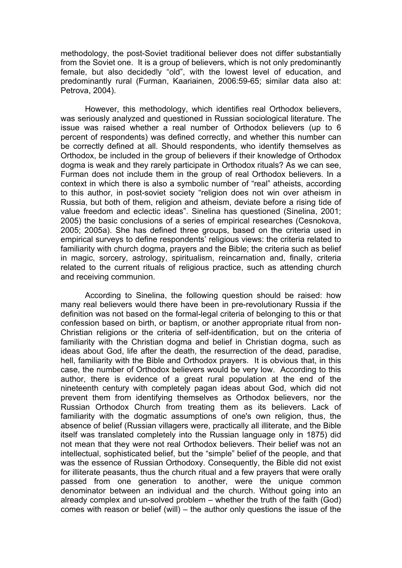methodology, the post-Soviet traditional believer does not differ substantially from the Soviet one. It is a group of believers, which is not only predominantly female, but also decidedly "old", with the lowest level of education, and predominantly rural (Furman, Kaariainen, 2006:59-65; similar data also at: Petrova, 2004).

However, this methodology, which identifies real Orthodox believers, was seriously analyzed and questioned in Russian sociological literature. The issue was raised whether a real number of Orthodox believers (up to 6 percent of respondents) was defined correctly, and whether this number can be correctly defined at all. Should respondents, who identify themselves as Orthodox, be included in the group of believers if their knowledge of Orthodox dogma is weak and they rarely participate in Orthodox rituals? As we can see, Furman does not include them in the group of real Orthodox believers. In a context in which there is also a symbolic number of "real" atheists, according to this author, in post-soviet society "religion does not win over atheism in Russia, but both of them, religion and atheism, deviate before a rising tide of value freedom and eclectic ideas". Sinelina has questioned (Sinelina, 2001; 2005) the basic conclusions of a series of empirical researches (Cesnokova, 2005; 2005а). She has defined three groups, based on the criteria used in empirical surveys to define respondents' religious views: the criteria related to familiarity with church dogma, prayers and the Bible; the criteria such as belief in magic, sorcery, astrology, spiritualism, reincarnation and, finally, criteria related to the current rituals of religious practice, such as attending church and receiving communion.

According to Sinelina, the following question should be raised: how many real believers would there have been in pre-revolutionary Russia if the definition was not based on the formal-legal criteria of belonging to this or that confession based on birth, or baptism, or another appropriate ritual from non-Christian religions or the criteria of self-identification, but on the criteria of familiarity with the Christian dogma and belief in Christian dogma, such as ideas about God, life after the death, the resurrection of the dead, paradise, hell, familiarity with the Bible and Orthodox prayers. It is obvious that, in this case, the number of Orthodox believers would be very low. According to this author, there is evidence of a great rural population at the end of the nineteenth century with completely pagan ideas about God, which did not prevent them from identifying themselves as Orthodox believers, nor the Russian Orthodox Church from treating them as its believers. Lack of familiarity with the dogmatic assumptions of one's own religion, thus, the absence of belief (Russian villagers were, practically all illiterate, and the Bible itself was translated completely into the Russian language only in 1875) did not mean that they were not real Orthodox believers. Their belief was not an intellectual, sophisticated belief, but the "simple" belief of the people, and that was the essence of Russian Orthodoxy. Consequently, the Bible did not exist for illiterate peasants, thus the church ritual and a few prayers that were orally passed from one generation to another, were the unique common denominator between an individual and the church. Without going into an already complex and un-solved problem – whether the truth of the faith (God) comes with reason or belief (will) – the author only questions the issue of the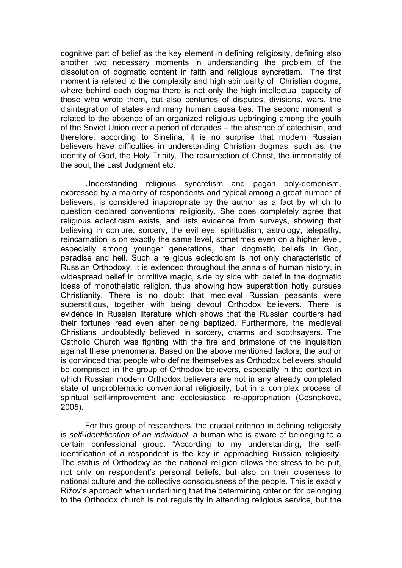cognitive part of belief as the key element in defining religiosity, defining also another two necessary moments in understanding the problem of the dissolution of dogmatic content in faith and religious syncretism. The first moment is related to the complexity and high spirituality of Christian dogma, where behind each dogma there is not only the high intellectual capacity of those who wrote them, but also centuries of disputes, divisions, wars, the disintegration of states and many human causalities. The second moment is related to the absence of an organized religious upbringing among the youth of the Soviet Union over a period of decades – the absence of catechism, and therefore, according to Sinelina, it is no surprise that modern Russian believers have difficulties in understanding Christian dogmas, such as: the identity of God, the Holy Trinity, The resurrection of Christ, the immortality of the soul, the Last Judgment etc.

Understanding religious syncretism and pagan poly-demonism, expressed by a majority of respondents and typical among a great number of believers, is considered inappropriate by the author as a fact by which to question declared conventional religiosity. She does completely agree that religious eclecticism exists, and lists evidence from surveys, showing that believing in conjure, sorcery, the evil eye, spiritualism, astrology, telepathy, reincarnation is on exactly the same level, sometimes even on a higher level, especially among younger generations, than dogmatic beliefs in God, paradise and hell. Such a religious eclecticism is not only characteristic of Russian Orthodoxy, it is extended throughout the annals of human history, in widespread belief in primitive magic, side by side with belief in the dogmatic ideas of monotheistic religion, thus showing how superstition hotly pursues Christianity. There is no doubt that medieval Russian peasants were superstitious, together with being devout Orthodox believers. There is evidence in Russian literature which shows that the Russian courtiers had their fortunes read even after being baptized. Furthermore, the medieval Christians undoubtedly believed in sorcery, charms and soothsayers. The Catholic Church was fighting with the fire and brimstone of the inquisition against these phenomena. Based on the above mentioned factors, the author is convinced that people who define themselves as Orthodox believers should be comprised in the group of Orthodox believers, especially in the context in which Russian modern Orthodox believers are not in any already completed state of unproblematic conventional religiosity, but in a complex process of spiritual self-improvement and ecclesiastical re-appropriation (Cesnokova, 2005).

For this group of researchers, the crucial criterion in defining religiosity is *self-identification of an individual*, a human who is aware of belonging to a certain confessional group. "According to my understanding, the selfidentification of a respondent is the key in approaching Russian religiosity. The status of Orthodoxy as the national religion allows the stress to be put, not only on respondent's personal beliefs, but also on their closeness to national culture and the collective consciousness of the people. This is exactly Rižov's approach when underlining that the determining criterion for belonging to the Orthodox church is not regularity in attending religious service, but the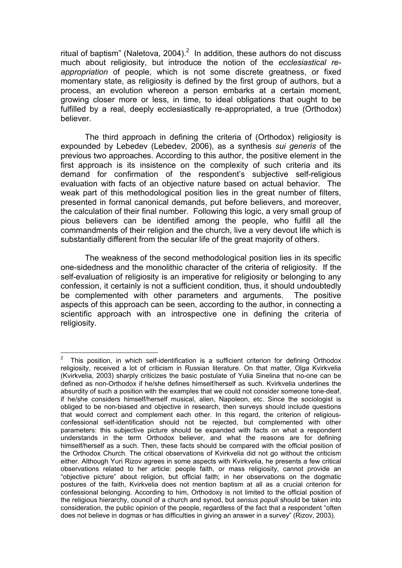ritual of baptism" (Naletova, 2004). $^2$  In addition, these authors do not discuss much about religiosity, but introduce the notion of the *ecclesiastical reappropriation* of people, which is not some discrete greatness, or fixed momentary state, as religiosity is defined by the first group of authors, but a process, an evolution whereon a person embarks at a certain moment, growing closer more or less, in time, to ideal obligations that ought to be fulfilled by a real, deeply ecclesiastically re-appropriated, a true (Orthodox) believer.

The third approach in defining the criteria of (Orthodox) religiosity is expounded by Lebedev (Lebedev, 2006), as a synthesis *sui generis* of the previous two approaches. According to this author, the positive element in the first approach is its insistence on the complexity of such criteria and its demand for confirmation of the respondent's subjective self-religious evaluation with facts of an objective nature based on actual behavior. The weak part of this methodological position lies in the great number of filters, presented in formal canonical demands, put before believers, and moreover, the calculation of their final number. Following this logic, a very small group of pious believers can be identified among the people, who fulfill all the commandments of their religion and the church, live a very devout life which is substantially different from the secular life of the great majority of others.

The weakness of the second methodological position lies in its specific one-sidedness and the monolithic character of the criteria of religiosity. If the self-evaluation of religiosity is an imperative for religiosity or belonging to any confession, it certainly is not a sufficient condition, thus, it should undoubtedly be complemented with other parameters and arguments. The positive aspects of this approach can be seen, according to the author, in connecting a scientific approach with an introspective one in defining the criteria of religiosity.

**EXECUTE:**<br><sup>2</sup> This position, in which self-identification is a sufficient criterion for defining Orthodox religiosity, received a lot of criticism in Russian literature. On that matter, Olga Kvirkvelia (Kvirkvelia, 2003) sharply criticizes the basic postulate of Yulia Sinelina that no-one can be defined as non-Orthodox if he/she defines himself/herself as such. Kvirkvelia underlines the absurdity of such a position with the examples that we could not consider someone tone-deaf, if he/she considers himself/herself musical, alien, Napoleon, etc. Since the sociologist is obliged to be non-biased and objective in research, then surveys should include questions that would correct and complement each other. In this regard, the criterion of religiousconfessional self-identification should not be rejected, but complemented with other parameters: this subjective picture should be expanded with facts on what a respondent understands in the term Orthodox believer, and what the reasons are for defining himself/herself as a such. Then, these facts should be compared with the official position of the Orthodox Church. The critical observations of Kvirkvelia did not go without the criticism either. Although Yuri Rizov agrees in some aspects with Kvirkvelia, he presents a few critical observations related to her article: people faith, or mass religiosity, cannot provide an "objective picture" about religion, but official faith; in her observations on the dogmatic postures of the faith, Kvirkvelia does not mention baptism at all as a crucial criterion for confessional belonging. According to him, Orthodoxy is not limited to the official position of the religious hierarchy, council of a church and synod, but *sensus populi* should be taken into consideration, the public opinion of the people, regardless of the fact that a respondent "often does not believe in dogmas or has difficulties in giving an answer in a survey" (Rizov, 2003).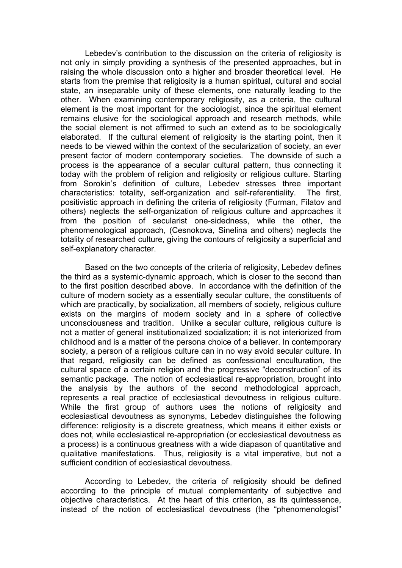Lebedev's contribution to the discussion on the criteria of religiosity is not only in simply providing a synthesis of the presented approaches, but in raising the whole discussion onto a higher and broader theoretical level. He starts from the premise that religiosity is a human spiritual, cultural and social state, an inseparable unity of these elements, one naturally leading to the other. When examining contemporary religiosity, as a criteria, the cultural element is the most important for the sociologist, since the spiritual element remains elusive for the sociological approach and research methods, while the social element is not affirmed to such an extend as to be sociologically elaborated. If the cultural element of religiosity is the starting point, then it needs to be viewed within the context of the secularization of society, an ever present factor of modern contemporary societies. The downside of such a process is the appearance of a secular cultural pattern, thus connecting it today with the problem of religion and religiosity or religious culture. Starting from Sorokin's definition of culture, Lebedev stresses three important characteristics: totality, self-organization and self-referentiality. The first, positivistic approach in defining the criteria of religiosity (Furman, Filatov and others) neglects the self-organization of religious culture and approaches it from the position of secularist one-sidedness, while the other, the phenomenological approach, (Cesnokova, Sinelina and others) neglects the totality of researched culture, giving the contours of religiosity a superficial and self-explanatory character.

Based on the two concepts of the criteria of religiosity, Lebedev defines the third as a systemic-dynamic approach, which is closer to the second than to the first position described above. In accordance with the definition of the culture of modern society as a essentially secular culture, the constituents of which are practically, by socialization, all members of society, religious culture exists on the margins of modern society and in a sphere of collective unconsciousness and tradition. Unlike a secular culture, religious culture is not a matter of general institutionalized socialization; it is not interiorized from childhood and is a matter of the persona choice of a believer. In contemporary society, a person of a religious culture can in no way avoid secular culture. In that regard, religiosity can be defined as confessional enculturation, the cultural space of a certain religion and the progressive "deconstruction" of its semantic package. The notion of ecclesiastical re-appropriation, brought into the analysis by the authors of the second methodological approach, represents a real practice of ecclesiastical devoutness in religious culture. While the first group of authors uses the notions of religiosity and ecclesiastical devoutness as synonyms, Lebedev distinguishes the following difference: religiosity is a discrete greatness, which means it either exists or does not, while ecclesiastical re-appropriation (or ecclesiastical devoutness as a process) is a continuous greatness with a wide diapason of quantitative and qualitative manifestations. Thus, religiosity is a vital imperative, but not a sufficient condition of ecclesiastical devoutness.

According to Lebedev, the criteria of religiosity should be defined according to the principle of mutual complementarity of subjective and objective characteristics. At the heart of this criterion, as its quintessence, instead of the notion of ecclesiastical devoutness (the "phenomenologist"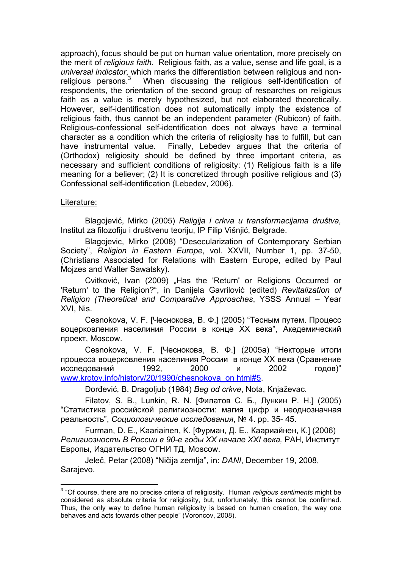approach), focus should be put on human value orientation, more precisely on the merit of *religious faith*. Religious faith, as a value, sense and life goal, is a *universal indicator*, which marks the differentiation between religious and nonreligious persons.<sup>3</sup> When discussing the religious self-identification of respondents, the orientation of the second group of researches on religious faith as a value is merely hypothesized, but not elaborated theoretically. However, self-identification does not automatically imply the existence of religious faith, thus cannot be an independent parameter (Rubicon) of faith. Religious-confessional self-identification does not always have a terminal character as a condition which the criteria of religiosity has to fulfill, but can have instrumental value. Finally, Lebedev argues that the criteria of (Orthodox) religiosity should be defined by three important criteria, as necessary and sufficient conditions of religiosity: (1) Religious faith is a life meaning for a believer; (2) It is concretized through positive religious and (3) Confessional self-identification (Lebedev, 2006).

### Literature:

Blagojević, Mirko (2005) *Religija i crkva u transformacijama društva,*  Institut za filozofiju i društvenu teoriju, IP Filip Višnjić, Belgrade.

Blagojevic, Mirko (2008) "Desecularization of Contemporary Serbian Society", *Religion in Eastern Europe*, vol. XXVII, Number 1, pp. 37-50, (Christians Associated for Relations with Eastern Europe, edited by Paul Mojzes and Walter Sawatsky).

Cvitković, Ivan (2009) "Has the 'Return' or Religions Occurred or 'Return' to the Religion?", in Danijela Gavrilović (edited) *Revitalization of Religion (Theoretical and Comparative Approaches*, YSSS Annual – Year XVI, Nis.

Cesnokova, V. F. [Чеснокова, В. Ф.] (2005) "Тесным путем. Процесс воцерковления населиния России в конце XX века", Акедемический проект, Moscow.

Cesnokova, V. F. [Чеснокова, В. Ф.] (2005a) "Некторые итоги процесса воцерковления населиния России в конце XX века (Сравнение исследований 1992, 2000 и 2002 годов)" www.krotov.info/history/20/1990/chesnokova\_on html#5.

Đorđević, B. Dragoljub (1984) *Beg od crkve*, Nota, Knjaževac.

Filatov, S. B., Lunkin, R. N. [Филатов С. Б., Лункин Р. Н.] (2005) "Статистика российской религиозности: магия цифр и неоднозначная реальность", *Социологические исследования*, № 4. pp. 35- 45.

Furman, D. E., Kaariainen, K. [Фурман, Д. Е., Каариайнен, К.] (2006) *Религиозность В России в 90-е годы XX начале XXI века,* РАН, Институт Европы, Издательство ОГНИ ТД, Moscow.

Jeleč, Petar (2008) "Ničija zemlja", in: *DANI*, December 19, 2008, Sarajevo.

 3 "Of course, there are no precise criteria of religiosity. Human *religious sentiments* might be considered as absolute criteria for religiosity, but, unfortunately, this cannot be confirmed. Thus, the only way to define human religiosity is based on human creation, the way one behaves and acts towards other people" (Voroncov, 2008).